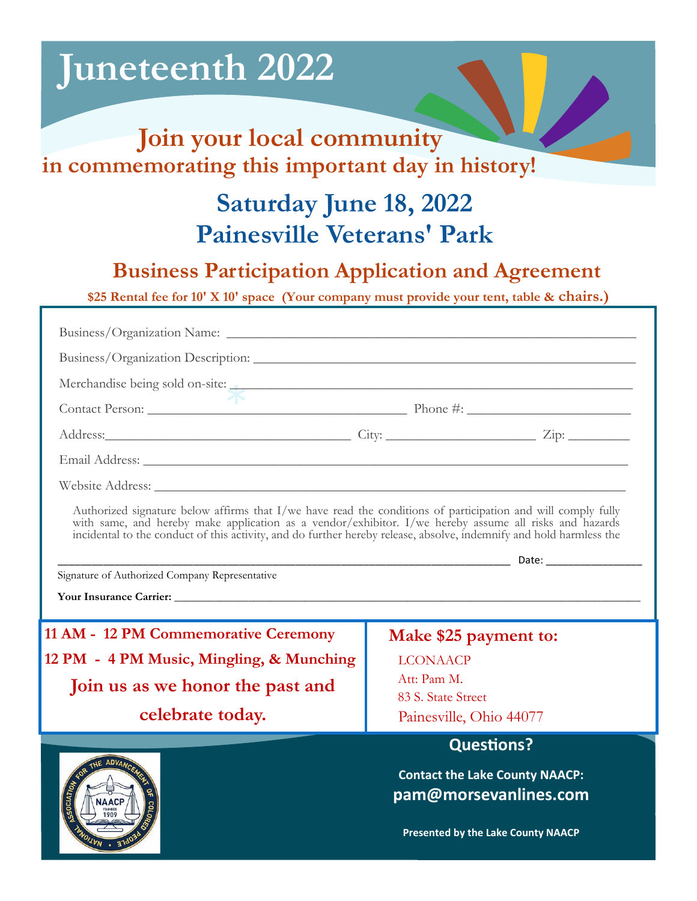# **Juneteenth 2022**

ŕ

### **Join your local community in commemorating this important day in history!**

## **Saturday June 18, 2022 Painesville Veterans' Park**

### **Business Participation Application and Agreement**

**\$25 Rental fee for 10' X 10' space (Your company must provide your tent, table & chairs.)**

| Business/Organization Description:                                                                                                                                                                                                                                                                                                            |                                                                |
|-----------------------------------------------------------------------------------------------------------------------------------------------------------------------------------------------------------------------------------------------------------------------------------------------------------------------------------------------|----------------------------------------------------------------|
| Merchandise being sold on-site:                                                                                                                                                                                                                                                                                                               |                                                                |
|                                                                                                                                                                                                                                                                                                                                               |                                                                |
| Address: <u>Zip: Zip:</u>                                                                                                                                                                                                                                                                                                                     |                                                                |
|                                                                                                                                                                                                                                                                                                                                               |                                                                |
|                                                                                                                                                                                                                                                                                                                                               |                                                                |
| Authorized signature below affirms that I/we have read the conditions of participation and will comply fully<br>with same, and hereby make application as a vendor/exhibitor. I/we hereby assume all risks and hazards<br>incidental to the conduct of this activity, and do further hereby release, absolve, indemnify and hold harmless the |                                                                |
| Signature of Authorized Company Representative                                                                                                                                                                                                                                                                                                |                                                                |
|                                                                                                                                                                                                                                                                                                                                               |                                                                |
| 11 AM - 12 PM Commemorative Ceremony                                                                                                                                                                                                                                                                                                          | Make \$25 payment to:                                          |
| 12 PM - 4 PM Music, Mingling, & Munching                                                                                                                                                                                                                                                                                                      | <b>LCONAACP</b>                                                |
| Join us as we honor the past and                                                                                                                                                                                                                                                                                                              | Att: Pam M.<br>83 S. State Street                              |
| celebrate today.                                                                                                                                                                                                                                                                                                                              | Painesville, Ohio 44077                                        |
|                                                                                                                                                                                                                                                                                                                                               | <b>Questions?</b>                                              |
| THE ADVANC<br><b>NAACP</b><br>1909                                                                                                                                                                                                                                                                                                            | <b>Contact the Lake County NAACP:</b><br>pam@morsevanlines.com |
|                                                                                                                                                                                                                                                                                                                                               | <b>Presented by the Lake County NAACP</b>                      |